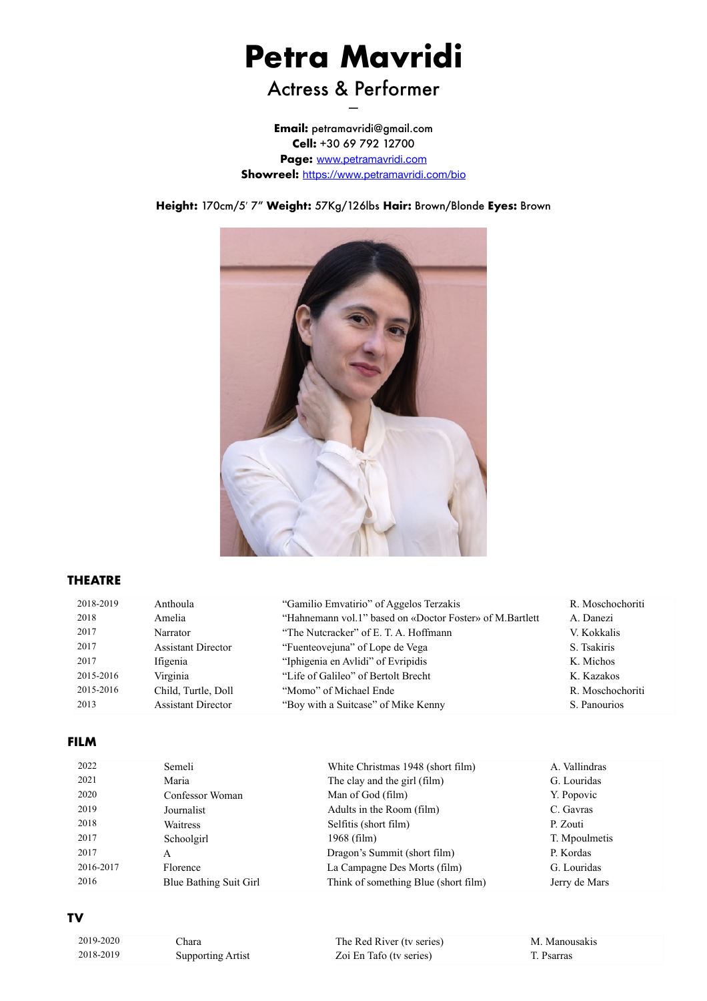# **Petra Mavridi**

## Actress & Performer

**Email:** petramavridi@gmail.com **Cell:** +30 69 792 12700 **Page:** [www.petramavridi.com](http://www.petramavridi.com) **Showreel:** <https://www.petramavridi.com/bio>

**Height:** 170cm/5! 7" **Weight:** 57Kg/126lbs **Hair:** Brown/Blonde **Eyes:** Brown



#### **THEATRE**

| 2018-2019 | Anthoula                  | "Gamilio Emvatirio" of Aggelos Terzakis                  | R. Moschochoriti |
|-----------|---------------------------|----------------------------------------------------------|------------------|
| 2018      | Amelia                    | "Hahnemann vol.1" based on «Doctor Foster» of M.Bartlett | A. Danezi        |
| 2017      | Narrator                  | "The Nutcracker" of E. T. A. Hoffmann                    | V. Kokkalis      |
| 2017      | <b>Assistant Director</b> | "Fuenteovejuna" of Lope de Vega                          | S. Tsakiris      |
| 2017      | Ifigenia                  | "Iphigenia en Avlidi" of Evripidis                       | K. Michos        |
| 2015-2016 | Virginia                  | "Life of Galileo" of Bertolt Brecht                      | K. Kazakos       |
| 2015-2016 | Child, Turtle, Doll       | "Momo" of Michael Ende                                   | R. Moschochoriti |
| 2013      | <b>Assistant Director</b> | "Boy with a Suitcase" of Mike Kenny"                     | S. Panourios     |

#### **FILM**

| 2022      | Semeli                 | White Christmas 1948 (short film)    | A. Vallindras |
|-----------|------------------------|--------------------------------------|---------------|
| 2021      | Maria                  | The clay and the girl (film)         | G. Louridas   |
| 2020      | Confessor Woman        | Man of God (film)                    | Y. Popovic    |
| 2019      | Journalist             | Adults in the Room (film)            | C. Gavras     |
| 2018      | Waitress               | Selfitis (short film)                | P. Zouti      |
| 2017      | Schoolgirl             | $1968$ (film)                        | T. Mpoulmetis |
| 2017      | A                      | Dragon's Summit (short film)         | P. Kordas     |
| 2016-2017 | Florence               | La Campagne Des Morts (film)         | G. Louridas   |
| 2016      | Blue Bathing Suit Girl | Think of something Blue (short film) | Jerry de Mars |

#### **TV**

| 2019-2020 | `hara                    | The Red River (tv series) | M. Manousakis |
|-----------|--------------------------|---------------------------|---------------|
| 2018-2019 | <b>Supporting Artist</b> | Zoi En Tafo (tv series)   | Psarras       |